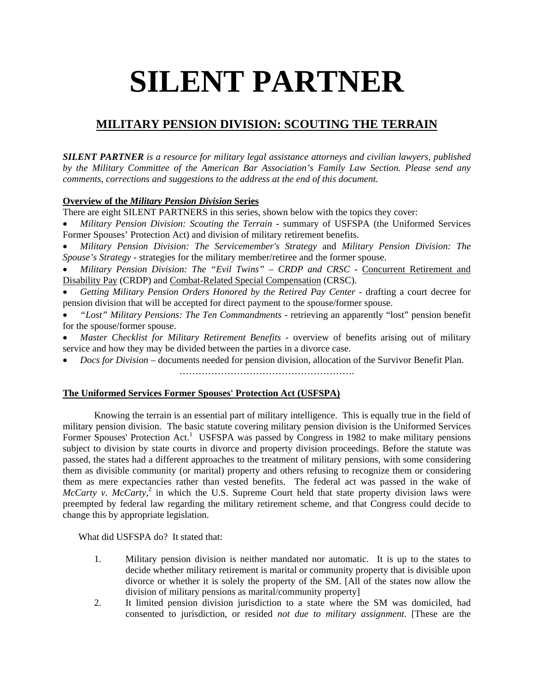# **SILENT PARTNER**

# **MILITARY PENSION DIVISION: SCOUTING THE TERRAIN**

*SILENT PARTNER is a resource for military legal assistance attorneys and civilian lawyers, published by the Military Committee of the American Bar Association's Family Law Section. Please send any comments, corrections and suggestions to the address at the end of this document.*

# **Overview of the** *Military Pension Division* **Series**

There are eight SILENT PARTNERS in this series, shown below with the topics they cover:

- *Military Pension Division: Scouting the Terrain* summary of USFSPA (the Uniformed Services Former Spouses' Protection Act) and division of military retirement benefits.
- *Military Pension Division: The Servicemember's Strategy* and *Military Pension Division: The Spouse's Strategy* - strategies for the military member/retiree and the former spouse.
- *Military Pension Division: The "Evil Twins" CRDP and CRSC* Concurrent Retirement and Disability Pay (CRDP) and Combat-Related Special Compensation (CRSC).
- *Getting Military Pension Orders Honored by the Retired Pay Center* drafting a court decree for pension division that will be accepted for direct payment to the spouse/former spouse.
- *"Lost" Military Pensions: The Ten Commandments* retrieving an apparently "lost" pension benefit for the spouse/former spouse.
- *Master Checklist for Military Retirement Benefits* overview of benefits arising out of military service and how they may be divided between the parties in a divorce case.
- *Docs for Division* documents needed for pension division, allocation of the Survivor Benefit Plan. ……………………………………………….

## **The Uniformed Services Former Spouses' Protection Act (USFSPA)**

Knowing the terrain is an essential part of military intelligence. This is equally true in the field of military pension division. The basic statute covering military pension division is the Uniformed Services Former Spouses' Protection Act.<sup>1</sup> USFSPA was passed by Congress in 1982 to make military pensions subject to division by state courts in divorce and property division proceedings. Before the statute was passed, the states had a different approaches to the treatment of military pensions, with some considering them as divisible community (or marital) property and others refusing to recognize them or considering them as mere expectancies rather than vested benefits. The federal act was passed in the wake of *McCarty v. McCarty*,<sup>2</sup> in which the U.S. Supreme Court held that state property division laws were preempted by federal law regarding the military retirement scheme, and that Congress could decide to change this by appropriate legislation.

What did USFSPA do? It stated that:

- 1. Military pension division is neither mandated nor automatic. It is up to the states to decide whether military retirement is marital or community property that is divisible upon divorce or whether it is solely the property of the SM. [All of the states now allow the division of military pensions as marital/community property]
- 2. It limited pension division jurisdiction to a state where the SM was domiciled, had consented to jurisdiction, or resided *not due to military assignment*. [These are the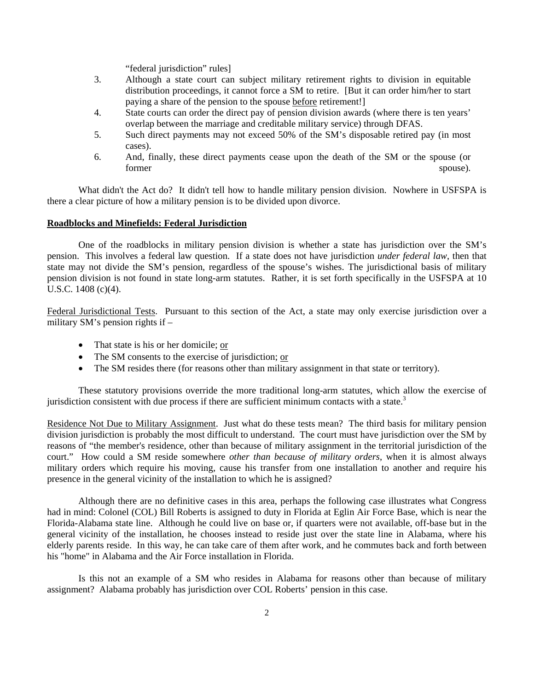"federal jurisdiction" rules]

- 3. Although a state court can subject military retirement rights to division in equitable distribution proceedings, it cannot force a SM to retire. [But it can order him/her to start paying a share of the pension to the spouse before retirement!]
- 4. State courts can order the direct pay of pension division awards (where there is ten years' overlap between the marriage and creditable military service) through DFAS.
- 5. Such direct payments may not exceed 50% of the SM's disposable retired pay (in most cases).
- 6. And, finally, these direct payments cease upon the death of the SM or the spouse (or former spouse).

 What didn't the Act do? It didn't tell how to handle military pension division. Nowhere in USFSPA is there a clear picture of how a military pension is to be divided upon divorce.

#### **Roadblocks and Minefields: Federal Jurisdiction**

 One of the roadblocks in military pension division is whether a state has jurisdiction over the SM's pension. This involves a federal law question. If a state does not have jurisdiction *under federal law*, then that state may not divide the SM's pension, regardless of the spouse's wishes. The jurisdictional basis of military pension division is not found in state long-arm statutes. Rather, it is set forth specifically in the USFSPA at 10 U.S.C. 1408 (c)(4).

Federal Jurisdictional Tests. Pursuant to this section of the Act, a state may only exercise jurisdiction over a military SM's pension rights if –

- That state is his or her domicile; or
- The SM consents to the exercise of jurisdiction; or
- The SM resides there (for reasons other than military assignment in that state or territory).

These statutory provisions override the more traditional long-arm statutes, which allow the exercise of jurisdiction consistent with due process if there are sufficient minimum contacts with a state. $3$ 

Residence Not Due to Military Assignment. Just what do these tests mean? The third basis for military pension division jurisdiction is probably the most difficult to understand. The court must have jurisdiction over the SM by reasons of "the member's residence, other than because of military assignment in the territorial jurisdiction of the court." How could a SM reside somewhere *other than because of military orders*, when it is almost always military orders which require his moving, cause his transfer from one installation to another and require his presence in the general vicinity of the installation to which he is assigned?

Although there are no definitive cases in this area, perhaps the following case illustrates what Congress had in mind: Colonel (COL) Bill Roberts is assigned to duty in Florida at Eglin Air Force Base, which is near the Florida-Alabama state line. Although he could live on base or, if quarters were not available, off-base but in the general vicinity of the installation, he chooses instead to reside just over the state line in Alabama, where his elderly parents reside. In this way, he can take care of them after work, and he commutes back and forth between his "home" in Alabama and the Air Force installation in Florida.

Is this not an example of a SM who resides in Alabama for reasons other than because of military assignment? Alabama probably has jurisdiction over COL Roberts' pension in this case.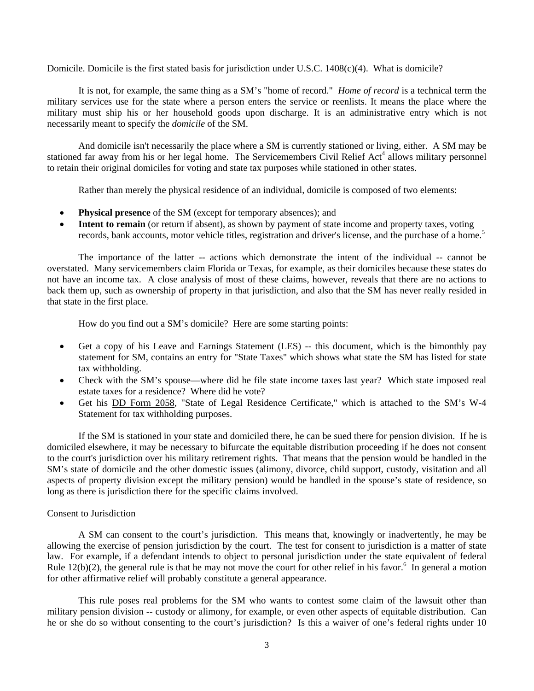Domicile. Domicile is the first stated basis for jurisdiction under U.S.C. 1408(c)(4). What is domicile?

 It is not, for example, the same thing as a SM's "home of record." *Home of record* is a technical term the military services use for the state where a person enters the service or reenlists. It means the place where the military must ship his or her household goods upon discharge. It is an administrative entry which is not necessarily meant to specify the *domicile* of the SM.

And domicile isn't necessarily the place where a SM is currently stationed or living, either. A SM may be stationed far away from his or her legal home. The Servicemembers Civil Relief Act<sup>4</sup> allows military personnel to retain their original domiciles for voting and state tax purposes while stationed in other states.

Rather than merely the physical residence of an individual, domicile is composed of two elements:

- **Physical presence** of the SM (except for temporary absences); and
- **Intent to remain** (or return if absent), as shown by payment of state income and property taxes, voting records, bank accounts, motor vehicle titles, registration and driver's license, and the purchase of a home.<sup>5</sup>

The importance of the latter -- actions which demonstrate the intent of the individual -- cannot be overstated. Many servicemembers claim Florida or Texas, for example, as their domiciles because these states do not have an income tax. A close analysis of most of these claims, however, reveals that there are no actions to back them up, such as ownership of property in that jurisdiction, and also that the SM has never really resided in that state in the first place.

How do you find out a SM's domicile? Here are some starting points:

- Get a copy of his Leave and Earnings Statement (LES) -- this document, which is the bimonthly pay statement for SM, contains an entry for "State Taxes" which shows what state the SM has listed for state tax withholding.
- Check with the SM's spouse—where did he file state income taxes last year? Which state imposed real estate taxes for a residence? Where did he vote?
- Get his DD Form 2058, "State of Legal Residence Certificate," which is attached to the SM's W-4 Statement for tax withholding purposes.

If the SM is stationed in your state and domiciled there, he can be sued there for pension division. If he is domiciled elsewhere, it may be necessary to bifurcate the equitable distribution proceeding if he does not consent to the court's jurisdiction over his military retirement rights. That means that the pension would be handled in the SM's state of domicile and the other domestic issues (alimony, divorce, child support, custody, visitation and all aspects of property division except the military pension) would be handled in the spouse's state of residence, so long as there is jurisdiction there for the specific claims involved.

#### Consent to Jurisdiction

A SM can consent to the court's jurisdiction. This means that, knowingly or inadvertently, he may be allowing the exercise of pension jurisdiction by the court. The test for consent to jurisdiction is a matter of state law. For example, if a defendant intends to object to personal jurisdiction under the state equivalent of federal Rule  $12(b)(2)$ , the general rule is that he may not move the court for other relief in his favor.<sup>6</sup> In general a motion for other affirmative relief will probably constitute a general appearance.

This rule poses real problems for the SM who wants to contest some claim of the lawsuit other than military pension division -- custody or alimony, for example, or even other aspects of equitable distribution. Can he or she do so without consenting to the court's jurisdiction? Is this a waiver of one's federal rights under 10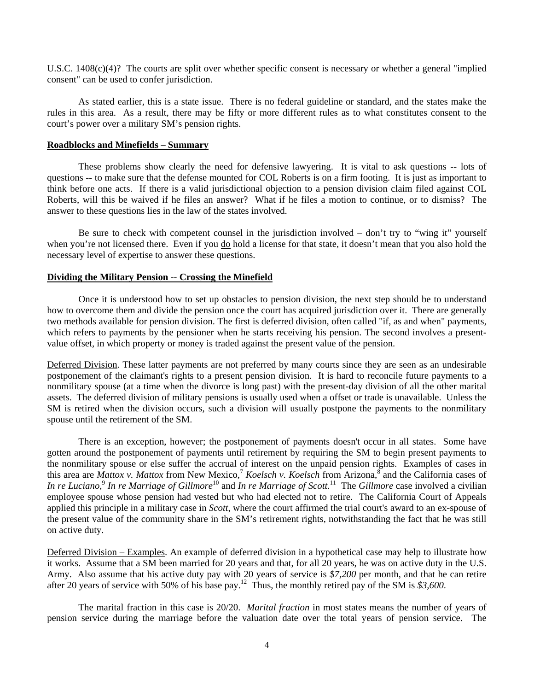U.S.C. 1408(c)(4)? The courts are split over whether specific consent is necessary or whether a general "implied consent" can be used to confer jurisdiction.

As stated earlier, this is a state issue. There is no federal guideline or standard, and the states make the rules in this area. As a result, there may be fifty or more different rules as to what constitutes consent to the court's power over a military SM's pension rights.

#### **Roadblocks and Minefields – Summary**

These problems show clearly the need for defensive lawyering. It is vital to ask questions -- lots of questions -- to make sure that the defense mounted for COL Roberts is on a firm footing. It is just as important to think before one acts. If there is a valid jurisdictional objection to a pension division claim filed against COL Roberts, will this be waived if he files an answer? What if he files a motion to continue, or to dismiss? The answer to these questions lies in the law of the states involved.

Be sure to check with competent counsel in the jurisdiction involved – don't try to "wing it" yourself when you're not licensed there. Even if you do hold a license for that state, it doesn't mean that you also hold the necessary level of expertise to answer these questions.

#### **Dividing the Military Pension -- Crossing the Minefield**

Once it is understood how to set up obstacles to pension division, the next step should be to understand how to overcome them and divide the pension once the court has acquired jurisdiction over it. There are generally two methods available for pension division. The first is deferred division, often called "if, as and when" payments, which refers to payments by the pensioner when he starts receiving his pension. The second involves a presentvalue offset, in which property or money is traded against the present value of the pension.

Deferred Division. These latter payments are not preferred by many courts since they are seen as an undesirable postponement of the claimant's rights to a present pension division. It is hard to reconcile future payments to a nonmilitary spouse (at a time when the divorce is long past) with the present-day division of all the other marital assets. The deferred division of military pensions is usually used when a offset or trade is unavailable. Unless the SM is retired when the division occurs, such a division will usually postpone the payments to the nonmilitary spouse until the retirement of the SM.

There is an exception, however; the postponement of payments doesn't occur in all states. Some have gotten around the postponement of payments until retirement by requiring the SM to begin present payments to the nonmilitary spouse or else suffer the accrual of interest on the unpaid pension rights. Examples of cases in this area are *Mattox v. Mattox* from New Mexico,<sup>7</sup> *Koelsch v. Koelsch* from Arizona,<sup>8</sup> and the California cases of In re Luciano,<sup>9</sup> In re Marriage of Gillmore<sup>10</sup> and In re Marriage of Scott.<sup>11</sup> The Gillmore case involved a civilian employee spouse whose pension had vested but who had elected not to retire. The California Court of Appeals applied this principle in a military case in *Scott*, where the court affirmed the trial court's award to an ex-spouse of the present value of the community share in the SM's retirement rights, notwithstanding the fact that he was still on active duty.

Deferred Division – Examples. An example of deferred division in a hypothetical case may help to illustrate how it works. Assume that a SM been married for 20 years and that, for all 20 years, he was on active duty in the U.S. Army. Also assume that his active duty pay with 20 years of service is *\$7,200* per month, and that he can retire after 20 years of service with 50% of his base pay.12 Thus, the monthly retired pay of the SM is *\$3,600*.

The marital fraction in this case is 20/20. *Marital fraction* in most states means the number of years of pension service during the marriage before the valuation date over the total years of pension service. The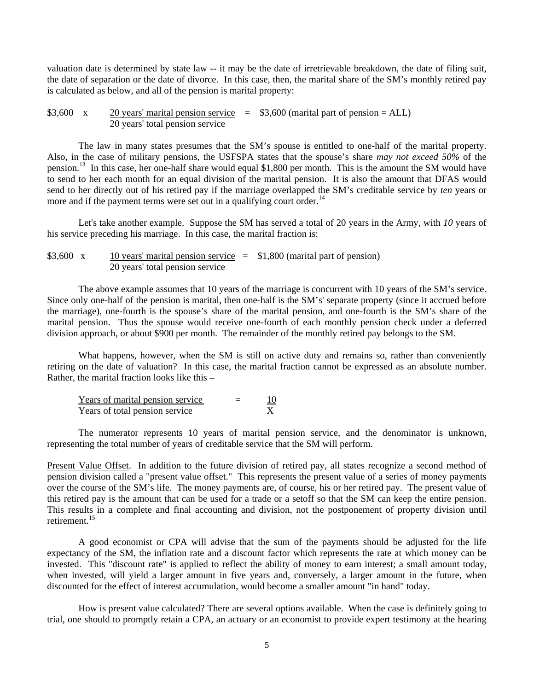valuation date is determined by state law -- it may be the date of irretrievable breakdown, the date of filing suit, the date of separation or the date of divorce. In this case, then, the marital share of the SM's monthly retired pay is calculated as below, and all of the pension is marital property:

\$3,600 x  $\frac{20 \text{ years}}{\text{marital pension service}} = \$3,600 \text{ (marital part of pension} = ALL)$ 20 years' total pension service

The law in many states presumes that the SM's spouse is entitled to one-half of the marital property. Also, in the case of military pensions, the USFSPA states that the spouse's share *may not exceed 50%* of the pension.13 In this case, her one-half share would equal \$1,800 per month. This is the amount the SM would have to send to her each month for an equal division of the marital pension. It is also the amount that DFAS would send to her directly out of his retired pay if the marriage overlapped the SM's creditable service by *ten* years or more and if the payment terms were set out in a qualifying court order.<sup>14</sup>

Let's take another example. Suppose the SM has served a total of 20 years in the Army, with *10* years of his service preceding his marriage. In this case, the marital fraction is:

```
$3,600 x 10 years' marital pension service = $1,800 (marital part of pension)
               20 years' total pension service
```
The above example assumes that 10 years of the marriage is concurrent with 10 years of the SM's service. Since only one-half of the pension is marital, then one-half is the SM's' separate property (since it accrued before the marriage), one-fourth is the spouse's share of the marital pension, and one-fourth is the SM's share of the marital pension. Thus the spouse would receive one-fourth of each monthly pension check under a deferred division approach, or about \$900 per month. The remainder of the monthly retired pay belongs to the SM.

What happens, however, when the SM is still on active duty and remains so, rather than conveniently retiring on the date of valuation? In this case, the marital fraction cannot be expressed as an absolute number. Rather, the marital fraction looks like this –

| Years of marital pension service | 10 |
|----------------------------------|----|
| Years of total pension service   |    |

The numerator represents 10 years of marital pension service, and the denominator is unknown, representing the total number of years of creditable service that the SM will perform.

Present Value Offset. In addition to the future division of retired pay, all states recognize a second method of pension division called a "present value offset." This represents the present value of a series of money payments over the course of the SM's life. The money payments are, of course, his or her retired pay. The present value of this retired pay is the amount that can be used for a trade or a setoff so that the SM can keep the entire pension. This results in a complete and final accounting and division, not the postponement of property division until retirement.<sup>15</sup>

A good economist or CPA will advise that the sum of the payments should be adjusted for the life expectancy of the SM, the inflation rate and a discount factor which represents the rate at which money can be invested. This "discount rate" is applied to reflect the ability of money to earn interest; a small amount today, when invested, will yield a larger amount in five years and, conversely, a larger amount in the future, when discounted for the effect of interest accumulation, would become a smaller amount "in hand" today.

How is present value calculated? There are several options available. When the case is definitely going to trial, one should to promptly retain a CPA, an actuary or an economist to provide expert testimony at the hearing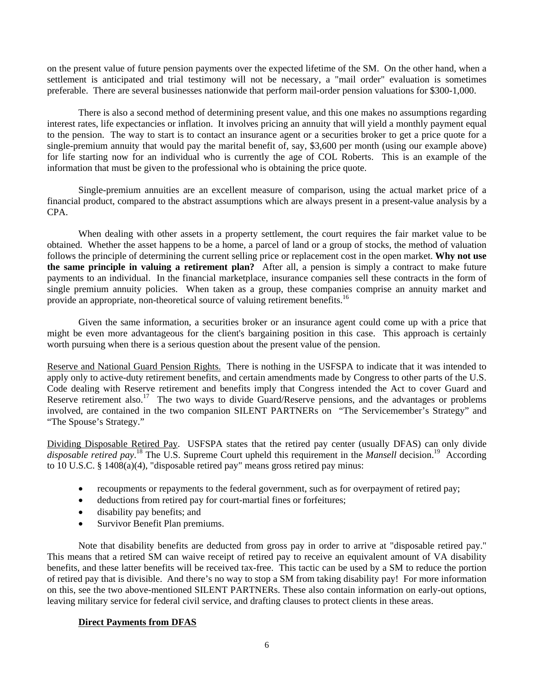on the present value of future pension payments over the expected lifetime of the SM. On the other hand, when a settlement is anticipated and trial testimony will not be necessary, a "mail order" evaluation is sometimes preferable. There are several businesses nationwide that perform mail-order pension valuations for \$300-1,000.

There is also a second method of determining present value, and this one makes no assumptions regarding interest rates, life expectancies or inflation. It involves pricing an annuity that will yield a monthly payment equal to the pension. The way to start is to contact an insurance agent or a securities broker to get a price quote for a single-premium annuity that would pay the marital benefit of, say, \$3,600 per month (using our example above) for life starting now for an individual who is currently the age of COL Roberts. This is an example of the information that must be given to the professional who is obtaining the price quote.

Single-premium annuities are an excellent measure of comparison, using the actual market price of a financial product, compared to the abstract assumptions which are always present in a present-value analysis by a CPA.

When dealing with other assets in a property settlement, the court requires the fair market value to be obtained. Whether the asset happens to be a home, a parcel of land or a group of stocks, the method of valuation follows the principle of determining the current selling price or replacement cost in the open market. **Why not use the same principle in valuing a retirement plan?** After all, a pension is simply a contract to make future payments to an individual. In the financial marketplace, insurance companies sell these contracts in the form of single premium annuity policies. When taken as a group, these companies comprise an annuity market and provide an appropriate, non-theoretical source of valuing retirement benefits.<sup>16</sup>

Given the same information, a securities broker or an insurance agent could come up with a price that might be even more advantageous for the client's bargaining position in this case. This approach is certainly worth pursuing when there is a serious question about the present value of the pension.

Reserve and National Guard Pension Rights. There is nothing in the USFSPA to indicate that it was intended to apply only to active-duty retirement benefits, and certain amendments made by Congress to other parts of the U.S. Code dealing with Reserve retirement and benefits imply that Congress intended the Act to cover Guard and Reserve retirement also.<sup>17</sup> The two ways to divide Guard/Reserve pensions, and the advantages or problems involved, are contained in the two companion SILENT PARTNERs on "The Servicemember's Strategy" and "The Spouse's Strategy."

Dividing Disposable Retired Pay. USFSPA states that the retired pay center (usually DFAS) can only divide disposable retired pay.<sup>18</sup> The U.S. Supreme Court upheld this requirement in the *Mansell* decision.<sup>19</sup> According to 10 U.S.C. § 1408(a)(4), "disposable retired pay" means gross retired pay minus:

- recoupments or repayments to the federal government, such as for overpayment of retired pay;
- deductions from retired pay for court-martial fines or forfeitures;
- disability pay benefits; and
- Survivor Benefit Plan premiums.

Note that disability benefits are deducted from gross pay in order to arrive at "disposable retired pay." This means that a retired SM can waive receipt of retired pay to receive an equivalent amount of VA disability benefits, and these latter benefits will be received tax-free. This tactic can be used by a SM to reduce the portion of retired pay that is divisible. And there's no way to stop a SM from taking disability pay! For more information on this, see the two above-mentioned SILENT PARTNERs. These also contain information on early-out options, leaving military service for federal civil service, and drafting clauses to protect clients in these areas.

#### **Direct Payments from DFAS**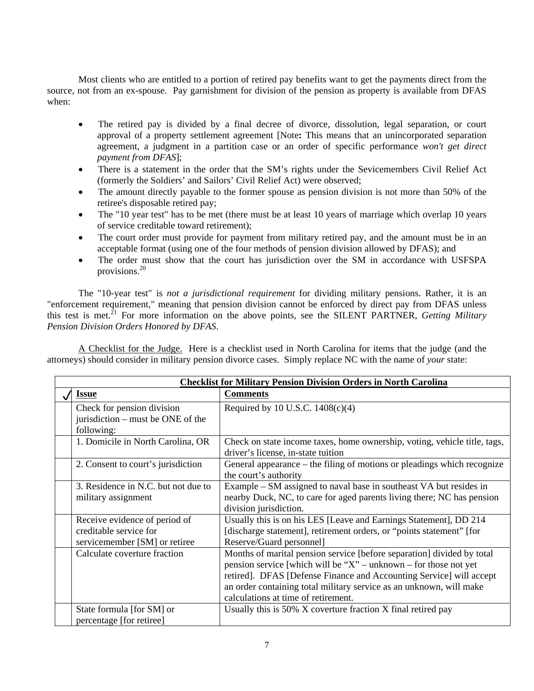Most clients who are entitled to a portion of retired pay benefits want to get the payments direct from the source, not from an ex-spouse. Pay garnishment for division of the pension as property is available from DFAS when:

- The retired pay is divided by a final decree of divorce, dissolution, legal separation, or court approval of a property settlement agreement [Note**:** This means that an unincorporated separation agreement, a judgment in a partition case or an order of specific performance *won't get direct payment from DFAS*];
- There is a statement in the order that the SM's rights under the Sevicemembers Civil Relief Act (formerly the Soldiers' and Sailors' Civil Relief Act) were observed;
- The amount directly payable to the former spouse as pension division is not more than 50% of the retiree's disposable retired pay;
- The "10 year test" has to be met (there must be at least 10 years of marriage which overlap 10 years of service creditable toward retirement);
- The court order must provide for payment from military retired pay, and the amount must be in an acceptable format (using one of the four methods of pension division allowed by DFAS); and
- The order must show that the court has jurisdiction over the SM in accordance with USFSPA provisions.20

The "10-year test" is *not a jurisdictional requirement* for dividing military pensions. Rather, it is an "enforcement requirement," meaning that pension division cannot be enforced by direct pay from DFAS unless this test is met.<sup>21</sup> For more information on the above points, see the SILENT PARTNER, *Getting Military Pension Division Orders Honored by DFAS*.

A Checklist for the Judge. Here is a checklist used in North Carolina for items that the judge (and the attorneys) should consider in military pension divorce cases. Simply replace NC with the name of *your* state:

| <b>Checklist for Military Pension Division Orders in North Carolina</b>                  |                                                                                                                                                                                                                                                                                                                                     |  |
|------------------------------------------------------------------------------------------|-------------------------------------------------------------------------------------------------------------------------------------------------------------------------------------------------------------------------------------------------------------------------------------------------------------------------------------|--|
| <b>Issue</b>                                                                             | <b>Comments</b>                                                                                                                                                                                                                                                                                                                     |  |
| Check for pension division<br>jurisdiction – must be ONE of the<br>following:            | Required by 10 U.S.C. $1408(c)(4)$                                                                                                                                                                                                                                                                                                  |  |
| 1. Domicile in North Carolina, OR                                                        | Check on state income taxes, home ownership, voting, vehicle title, tags,<br>driver's license, in-state tuition                                                                                                                                                                                                                     |  |
| 2. Consent to court's jurisdiction                                                       | General appearance – the filing of motions or pleadings which recognize<br>the court's authority                                                                                                                                                                                                                                    |  |
| 3. Residence in N.C. but not due to<br>military assignment                               | Example – SM assigned to naval base in southeast VA but resides in<br>nearby Duck, NC, to care for aged parents living there; NC has pension<br>division jurisdiction.                                                                                                                                                              |  |
| Receive evidence of period of<br>creditable service for<br>servicemember [SM] or retiree | Usually this is on his LES [Leave and Earnings Statement], DD 214<br>[discharge statement], retirement orders, or "points statement" [for<br>Reserve/Guard personnel]                                                                                                                                                               |  |
| Calculate coverture fraction                                                             | Months of marital pension service [before separation] divided by total<br>pension service [which will be " $X$ " – unknown – for those not yet<br>retired]. DFAS [Defense Finance and Accounting Service] will accept<br>an order containing total military service as an unknown, will make<br>calculations at time of retirement. |  |
| State formula [for SM] or<br>percentage [for retiree]                                    | Usually this is 50% X coverture fraction X final retired pay                                                                                                                                                                                                                                                                        |  |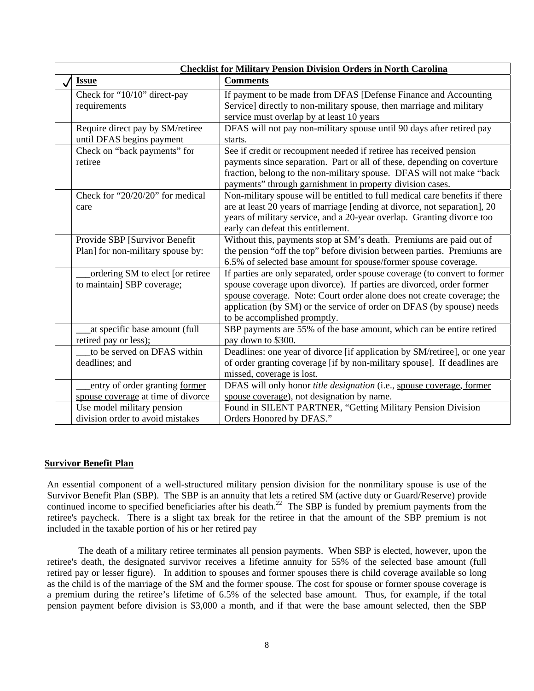| <b>Checklist for Military Pension Division Orders in North Carolina</b> |                                    |                                                                             |
|-------------------------------------------------------------------------|------------------------------------|-----------------------------------------------------------------------------|
|                                                                         | <b>Issue</b>                       | <b>Comments</b>                                                             |
|                                                                         | Check for "10/10" direct-pay       | If payment to be made from DFAS [Defense Finance and Accounting             |
|                                                                         | requirements                       | Service] directly to non-military spouse, then marriage and military        |
|                                                                         |                                    | service must overlap by at least 10 years                                   |
|                                                                         | Require direct pay by SM/retiree   | DFAS will not pay non-military spouse until 90 days after retired pay       |
|                                                                         | until DFAS begins payment          | starts.                                                                     |
|                                                                         | Check on "back payments" for       | See if credit or recoupment needed if retiree has received pension          |
|                                                                         | retiree                            | payments since separation. Part or all of these, depending on coverture     |
|                                                                         |                                    | fraction, belong to the non-military spouse. DFAS will not make "back       |
|                                                                         |                                    | payments" through garnishment in property division cases.                   |
|                                                                         | Check for "20/20/20" for medical   | Non-military spouse will be entitled to full medical care benefits if there |
|                                                                         | care                               | are at least 20 years of marriage [ending at divorce, not separation], 20   |
|                                                                         |                                    | years of military service, and a 20-year overlap. Granting divorce too      |
|                                                                         |                                    | early can defeat this entitlement.                                          |
|                                                                         | Provide SBP [Survivor Benefit      | Without this, payments stop at SM's death. Premiums are paid out of         |
|                                                                         | Plan] for non-military spouse by:  | the pension "off the top" before division between parties. Premiums are     |
|                                                                         |                                    | 6.5% of selected base amount for spouse/former spouse coverage.             |
|                                                                         | ordering SM to elect [or retiree   | If parties are only separated, order spouse coverage (to convert to former  |
|                                                                         | to maintain] SBP coverage;         | spouse coverage upon divorce). If parties are divorced, order former        |
|                                                                         |                                    | spouse coverage. Note: Court order alone does not create coverage; the      |
|                                                                         |                                    | application (by SM) or the service of order on DFAS (by spouse) needs       |
|                                                                         |                                    | to be accomplished promptly.                                                |
|                                                                         | at specific base amount (full      | SBP payments are 55% of the base amount, which can be entire retired        |
|                                                                         | retired pay or less);              | pay down to \$300.                                                          |
|                                                                         | to be served on DFAS within        | Deadlines: one year of divorce [if application by SM/retiree], or one year  |
|                                                                         | deadlines; and                     | of order granting coverage [if by non-military spouse]. If deadlines are    |
|                                                                         |                                    | missed, coverage is lost.                                                   |
|                                                                         | entry of order granting former     | DFAS will only honor title designation (i.e., spouse coverage, former       |
|                                                                         | spouse coverage at time of divorce | spouse coverage), not designation by name.                                  |
|                                                                         | Use model military pension         | Found in SILENT PARTNER, "Getting Military Pension Division                 |
|                                                                         | division order to avoid mistakes   | Orders Honored by DFAS."                                                    |

## **Survivor Benefit Plan**

An essential component of a well-structured military pension division for the nonmilitary spouse is use of the Survivor Benefit Plan (SBP). The SBP is an annuity that lets a retired SM (active duty or Guard/Reserve) provide continued income to specified beneficiaries after his death.<sup>22</sup> The SBP is funded by premium payments from the retiree's paycheck. There is a slight tax break for the retiree in that the amount of the SBP premium is not included in the taxable portion of his or her retired pay

The death of a military retiree terminates all pension payments. When SBP is elected, however, upon the retiree's death, the designated survivor receives a lifetime annuity for 55% of the selected base amount (full retired pay or lesser figure). In addition to spouses and former spouses there is child coverage available so long as the child is of the marriage of the SM and the former spouse. The cost for spouse or former spouse coverage is a premium during the retiree's lifetime of 6.5% of the selected base amount. Thus, for example, if the total pension payment before division is \$3,000 a month, and if that were the base amount selected, then the SBP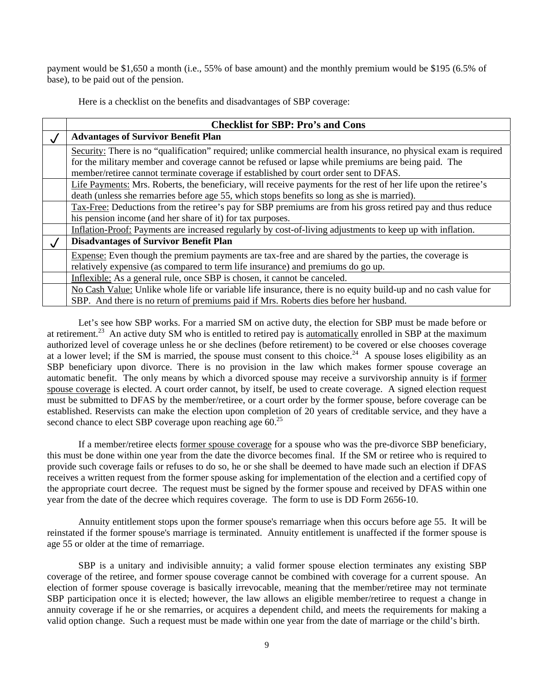payment would be \$1,650 a month (i.e., 55% of base amount) and the monthly premium would be \$195 (6.5% of base), to be paid out of the pension.

Here is a checklist on the benefits and disadvantages of SBP coverage:

|              | <b>Checklist for SBP: Pro's and Cons</b>                                                                         |
|--------------|------------------------------------------------------------------------------------------------------------------|
| $\checkmark$ | <b>Advantages of Survivor Benefit Plan</b>                                                                       |
|              | Security: There is no "qualification" required; unlike commercial health insurance, no physical exam is required |
|              | for the military member and coverage cannot be refused or lapse while premiums are being paid. The               |
|              | member/retiree cannot terminate coverage if established by court order sent to DFAS.                             |
|              | Life Payments: Mrs. Roberts, the beneficiary, will receive payments for the rest of her life upon the retiree's  |
|              | death (unless she remarries before age 55, which stops benefits so long as she is married).                      |
|              | Tax-Free: Deductions from the retiree's pay for SBP premiums are from his gross retired pay and thus reduce      |
|              | his pension income (and her share of it) for tax purposes.                                                       |
|              | Inflation-Proof: Payments are increased regularly by cost-of-living adjustments to keep up with inflation.       |
| $\sqrt{ }$   | <b>Disadvantages of Survivor Benefit Plan</b>                                                                    |
|              | Expense: Even though the premium payments are tax-free and are shared by the parties, the coverage is            |
|              | relatively expensive (as compared to term life insurance) and premiums do go up.                                 |
|              | Inflexible: As a general rule, once SBP is chosen, it cannot be canceled.                                        |
|              | No Cash Value: Unlike whole life or variable life insurance, there is no equity build-up and no cash value for   |
|              | SBP. And there is no return of premiums paid if Mrs. Roberts dies before her husband.                            |

Let's see how SBP works. For a married SM on active duty, the election for SBP must be made before or at retirement.<sup>23</sup> An active duty SM who is entitled to retired pay is <u>automatically</u> enrolled in SBP at the maximum authorized level of coverage unless he or she declines (before retirement) to be covered or else chooses coverage at a lower level; if the SM is married, the spouse must consent to this choice.<sup>24</sup> A spouse loses eligibility as an SBP beneficiary upon divorce. There is no provision in the law which makes former spouse coverage an automatic benefit. The only means by which a divorced spouse may receive a survivorship annuity is if former spouse coverage is elected. A court order cannot, by itself, be used to create coverage. A signed election request must be submitted to DFAS by the member/retiree, or a court order by the former spouse, before coverage can be established. Reservists can make the election upon completion of 20 years of creditable service, and they have a second chance to elect SBP coverage upon reaching age  $60<sup>25</sup>$ 

If a member/retiree elects former spouse coverage for a spouse who was the pre-divorce SBP beneficiary, this must be done within one year from the date the divorce becomes final. If the SM or retiree who is required to provide such coverage fails or refuses to do so, he or she shall be deemed to have made such an election if DFAS receives a written request from the former spouse asking for implementation of the election and a certified copy of the appropriate court decree. The request must be signed by the former spouse and received by DFAS within one year from the date of the decree which requires coverage. The form to use is DD Form 2656-10.

Annuity entitlement stops upon the former spouse's remarriage when this occurs before age 55. It will be reinstated if the former spouse's marriage is terminated. Annuity entitlement is unaffected if the former spouse is age 55 or older at the time of remarriage.

SBP is a unitary and indivisible annuity; a valid former spouse election terminates any existing SBP coverage of the retiree, and former spouse coverage cannot be combined with coverage for a current spouse. An election of former spouse coverage is basically irrevocable, meaning that the member/retiree may not terminate SBP participation once it is elected; however, the law allows an eligible member/retiree to request a change in annuity coverage if he or she remarries, or acquires a dependent child, and meets the requirements for making a valid option change. Such a request must be made within one year from the date of marriage or the child's birth.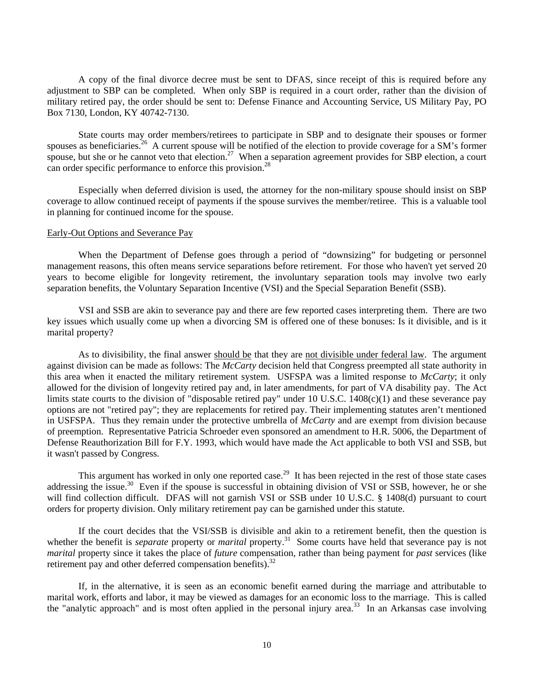A copy of the final divorce decree must be sent to DFAS, since receipt of this is required before any adjustment to SBP can be completed. When only SBP is required in a court order, rather than the division of military retired pay, the order should be sent to: Defense Finance and Accounting Service, US Military Pay, PO Box 7130, London, KY 40742-7130.

State courts may order members/retirees to participate in SBP and to designate their spouses or former spouses as beneficiaries.<sup>26</sup> A current spouse will be notified of the election to provide coverage for a SM's former spouse, but she or he cannot veto that election.<sup>27</sup> When a separation agreement provides for SBP election, a court can order specific performance to enforce this provision.<sup>28</sup>

Especially when deferred division is used, the attorney for the non-military spouse should insist on SBP coverage to allow continued receipt of payments if the spouse survives the member/retiree. This is a valuable tool in planning for continued income for the spouse.

#### Early-Out Options and Severance Pay

When the Department of Defense goes through a period of "downsizing" for budgeting or personnel management reasons, this often means service separations before retirement. For those who haven't yet served 20 years to become eligible for longevity retirement, the involuntary separation tools may involve two early separation benefits, the Voluntary Separation Incentive (VSI) and the Special Separation Benefit (SSB).

VSI and SSB are akin to severance pay and there are few reported cases interpreting them. There are two key issues which usually come up when a divorcing SM is offered one of these bonuses: Is it divisible, and is it marital property?

As to divisibility, the final answer should be that they are not divisible under federal law. The argument against division can be made as follows: The *McCarty* decision held that Congress preempted all state authority in this area when it enacted the military retirement system. USFSPA was a limited response to *McCarty*; it only allowed for the division of longevity retired pay and, in later amendments, for part of VA disability pay. The Act limits state courts to the division of "disposable retired pay" under 10 U.S.C. 1408(c)(1) and these severance pay options are not "retired pay"; they are replacements for retired pay. Their implementing statutes aren't mentioned in USFSPA. Thus they remain under the protective umbrella of *McCarty* and are exempt from division because of preemption. Representative Patricia Schroeder even sponsored an amendment to H.R. 5006, the Department of Defense Reauthorization Bill for F.Y. 1993, which would have made the Act applicable to both VSI and SSB, but it wasn't passed by Congress.

This argument has worked in only one reported case.<sup>29</sup> It has been rejected in the rest of those state cases addressing the issue.<sup>30</sup> Even if the spouse is successful in obtaining division of VSI or SSB, however, he or she will find collection difficult. DFAS will not garnish VSI or SSB under 10 U.S.C. § 1408(d) pursuant to court orders for property division. Only military retirement pay can be garnished under this statute.

If the court decides that the VSI/SSB is divisible and akin to a retirement benefit, then the question is whether the benefit is *separate* property or *marital* property.<sup>31</sup> Some courts have held that severance pay is not *marital* property since it takes the place of *future* compensation, rather than being payment for *past* services (like retirement pay and other deferred compensation benefits).<sup>32</sup>

If, in the alternative, it is seen as an economic benefit earned during the marriage and attributable to marital work, efforts and labor, it may be viewed as damages for an economic loss to the marriage. This is called the "analytic approach" and is most often applied in the personal injury area.<sup>33</sup> In an Arkansas case involving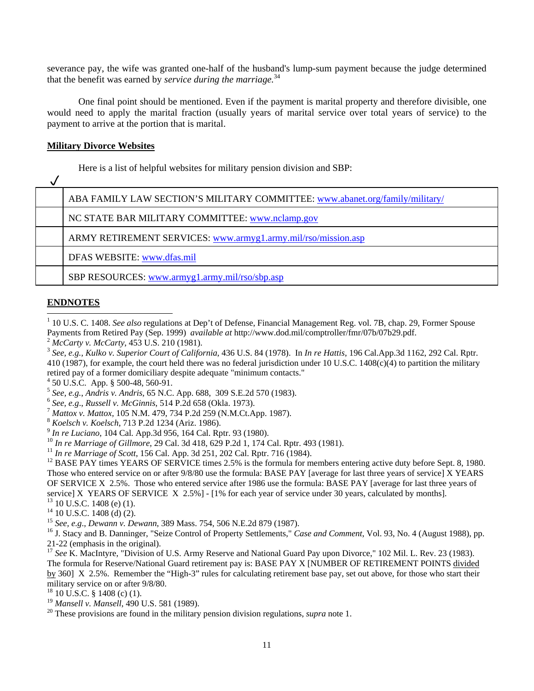severance pay, the wife was granted one-half of the husband's lump-sum payment because the judge determined that the benefit was earned by *service during the marriage.*<sup>34</sup>

One final point should be mentioned. Even if the payment is marital property and therefore divisible, one would need to apply the marital fraction (usually years of marital service over total years of service) to the payment to arrive at the portion that is marital.

#### **Military Divorce Websites**

Here is a list of helpful websites for military pension division and SBP:

| ABA FAMILY LAW SECTION'S MILITARY COMMITTEE: www.abanet.org/family/military/ |
|------------------------------------------------------------------------------|
| NC STATE BAR MILITARY COMMITTEE: www.nclamp.gov                              |
| ARMY RETIREMENT SERVICES: www.armyg1.army.mil/rso/mission.asp                |
| DFAS WEBSITE: www.dfas.mil                                                   |
| SBP RESOURCES: www.armyg1.army.mil/rso/sbp.asp                               |

# **ENDNOTES**

 $\overline{\phantom{a}}$ 

<sup>1</sup> 10 U.S. C. 1408. *See also* regulations at Dep't of Defense, Financial Management Reg. vol. 7B, chap. 29, Former Spouse Payments from Retired Pay (Sep. 1999) *available at* http://www.dod.mil/comptroller/fmr/07b/07b29.pdf.<br><sup>2</sup> McCarty v. McCarty, 453 U.S. 210 (1981).<br><sup>3</sup> See, e.g., Kulko v. Superior Court of California, 436 U.S. 84 (1978).

410 (1987), for example, the court held there was no federal jurisdiction under 10 U.S.C. 1408(c)(4) to partition the military retired pay of a former domiciliary despite adequate "minimum contacts."

 $4\,$  50 U.S.C. App. § 500-48, 560-91.

<sup>5</sup> See, e.g., Andris v. Andris, 65 N.C. App. 688, 309 S.E.2d 570 (1983).<br>
<sup>6</sup> See, e.g., Russell v. McGinnis, 514 P.2d 658 (Okla. 1973).<br>
<sup>7</sup> Mattox v. Mattox, 105 N.M. 479, 734 P.2d 259 (N.M.Ct.App. 1987).<br>
<sup>8</sup> Koelsch

- 
- 
- 

<sup>9</sup> *In re Luciano*, 104 Cal. App.3d 956, 164 Cal. Rptr. 93 (1980).<br><sup>10</sup> *In re Marriage of Gillmore*, 29 Cal. 3d 418, 629 P.2d 1, 174 Cal. Rptr. 493 (1981).<br><sup>11</sup> *In re Marriage of Scott*, 156 Cal. App. 3d 251, 202 Cal. Those who entered service on or after 9/8/80 use the formula: BASE PAY [average for last three years of service] X YEARS OF SERVICE X 2.5%. Those who entered service after 1986 use the formula: BASE PAY [average for last three years of service] X YEARS OF SERVICE X 2.5%] - [1% for each year of service under 30 years, calculated by months].<br><sup>13</sup> 10 U.S.C. 1408 (e) (1).

- 
- 
- <sup>14</sup> 10 U.S.C. 1408 (d) (2).<br><sup>15</sup> See, e.g., Dewann v. Dewann, 389 Mass. 754, 506 N.E.2d 879 (1987).

<sup>16</sup> J. Stacy and B. Danninger, "Seize Control of Property Settlements," *Case and Comment*, Vol. 93, No. 4 (August 1988), pp. 21-22 (emphasis in the original).

<sup>17</sup> See K. MacIntyre, "Division of U.S. Army Reserve and National Guard Pay upon Divorce," 102 Mil. L. Rev. 23 (1983). The formula for Reserve/National Guard retirement pay is: BASE PAY X [NUMBER OF RETIREMENT POINTS divided by 360] X 2.5%. Remember the "High-3" rules for calculating retirement base pay, set out above, for those who start their military service on or after 9/8/80.

- <sup>18</sup> 10 U.S.C. § 1408 (c) (1).<br><sup>19</sup> Mansell v. Mansell, 490 U.S. 581 (1989).
- <sup>20</sup> These provisions are found in the military pension division regulations, *supra* note 1.